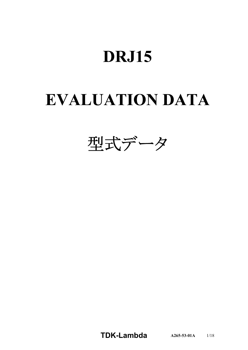# **DRJ15**

# **EVALUATION DATA**



**TDK-Lambda A265-53-01A** 1/18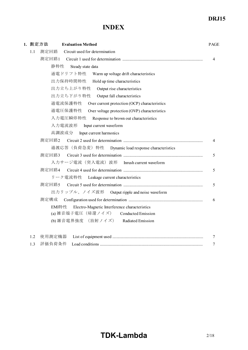## **INDEX**

|     | 1. 測定方法<br><b>Evaluation Method</b>                      | <b>PAGE</b>    |
|-----|----------------------------------------------------------|----------------|
| 1.1 | 測定回路<br>Circuit used for determination                   |                |
|     | 測定回路1                                                    | $\overline{4}$ |
|     | 静特性<br>Steady state data                                 |                |
|     | 通電ドリフト特性<br>Warm up voltage drift characteristics        |                |
|     | 出力保持時間特性<br>Hold up time characteristics                 |                |
|     | 出力立ち上がり特性<br>Output rise characteristics                 |                |
|     | 出力立ち下がり特性<br>Output fall characteristics                 |                |
|     | 過電流保護特性<br>Over current protection (OCP) characteristics |                |
|     | 過電圧保護特性<br>Over voltage protection (OVP) characteristics |                |
|     | 入力電圧瞬停特性<br>Response to brown out characteristics        |                |
|     | 入力電流波形<br>Input current waveform                         |                |
|     | 高調波成分<br>Input current harmonics                         |                |
|     | 測定回路2                                                    | 4              |
|     | 過渡応答(負荷急変)特性<br>Dynamic load response characteristics    |                |
|     | 測定回路3                                                    | 5              |
|     | 入力サージ電流(突入電流)波形 Inrush current waveform                  |                |
|     | 測定回路4                                                    | 5              |
|     | リーク電流特性<br>Leakage current characteristics               |                |
|     | 測定回路5                                                    | 5              |
|     | 出力リップル、ノイズ波形<br>Output ripple and noise waveform         |                |
|     | 測定構成                                                     | 6              |
|     | EMI特性<br>Electro-Magnetic Interference characteristics   |                |
|     | (a) 雑音端子電圧(帰還ノイズ)<br>Conducted Emission                  |                |
|     | (b) 雑音電界強度 (放射ノイズ)<br>Radiated Emission                  |                |

1.3 評価負荷条件 Load conditions .......................................................................................................................................... 7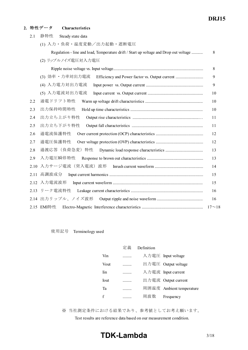#### **2.** 特性データ **Characteristics**

| 2.1  | 静特性<br>Steady state data                                                              |     |
|------|---------------------------------------------------------------------------------------|-----|
|      | (1) 入力・負荷・温度変動/出力起動・遮断電圧                                                              |     |
|      | Regulation - line and load, Temperature drift / Start up voltage and Drop out voltage | 8   |
|      | (2) リップルノイズ電圧対入力電圧                                                                    |     |
|      |                                                                                       | 8   |
|      | (3) 効率 · 力率対出力電流<br>Efficiency and Power factor vs. Output current                    | 9   |
|      | (4) 入力電力対出力電流                                                                         | 9   |
|      | (5) 入力電流対出力電流                                                                         | 10  |
| 2.2  | 通電ドリフト特性                                                                              | 10  |
| 2.3  | 出力保持時間特性                                                                              | 10  |
| 2.4  | 出力立ち上がり特性                                                                             | 11  |
| 2.5  | 出力立ち下がり特性                                                                             | -11 |
| 2.6  | 過電流保護特性                                                                               | 12  |
| 2.7  | 過電圧保護特性                                                                               | 12  |
| 2.8  |                                                                                       | 13  |
| 2.9  | 入力電圧瞬停特性                                                                              | 13  |
| 2.10 | 入力サージ電流(突入電流)波形                                                                       | 14  |
| 2.11 | 高調波成分                                                                                 | 15  |
| 2.12 | 入力電流波形                                                                                | 15  |
| 2.13 | リーク電流特性                                                                               | 16  |
|      |                                                                                       | 16  |
|      | 2.15 EMI特性                                                                            |     |
|      |                                                                                       |     |

使用記号 Terminology used

|      | 定義 | Definition |                          |
|------|----|------------|--------------------------|
| Vin  | .  |            | 入力電圧 Input voltage       |
| Vout | .  |            | 出力電圧 Output voltage      |
| Iin  |    |            | 入力電流 Input current       |
| Iout | .  |            | 出力電流 Output current      |
| Ta   |    |            | 周囲温度 Ambient temperature |
| f    |    | 周波数        | Frequency                |

※ 当社測定条件における結果であり、参考値としてお考え願います。

Test results are reference data based on our measurement condition.

# **TDK-Lambda** 3/18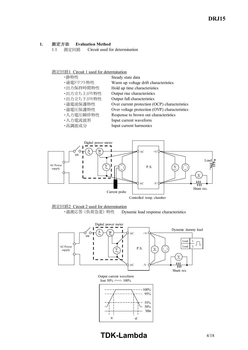#### **1.** 測定方法 **Evaluation Method**

1.1 測定回路 Circuit used for determination

#### 測定回路1 Circuit 1 used for determination









# **TDK-Lambda** 4/18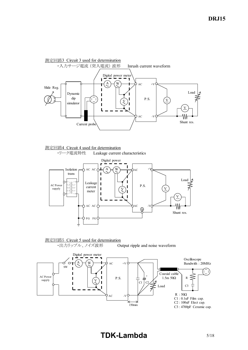





## 測定回路5 Circuit 5 used for determination

・出力リップル、ノイズ波形 Output ripple and noise waveform



# **TDK-Lambda** 5/18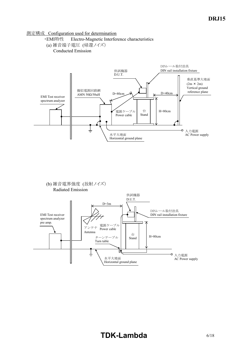#### 測定構成 Configuration used for determination

- ・EMI特性 Electro-Magnetic Interference characteristics
- (a) 雑音端子電圧 (帰還ノイズ)

Conducted Emission





# **TDK-Lambda** 6/18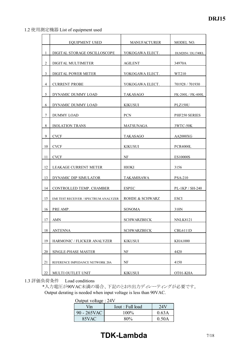#### 1.2 使用測定機器 List of equipment used

|                | <b>EQUIPMENT USED</b>                 | <b>MANUFACTURER</b> | MODEL NO.          |
|----------------|---------------------------------------|---------------------|--------------------|
| 1              | DIGITAL STORAGE OSCILLOSCOPE          | YOKOGAWA ELECT.     | DLM2054 / DL1740EL |
| $\overline{c}$ | DIGITAL MULTIMETER                    | AGILENT             | 34970A             |
| 3              | DIGITAL POWER METER                   | YOKOGAWA ELECT.     | WT210              |
| $\overline{4}$ | <b>CURRENT PROBE</b>                  | YOKOGAWA ELECT.     | 701928 / 701930    |
| 5              | DYNAMIC DUMMY LOAD                    | <b>TAKASAGO</b>     | FK-200L / FK-400L  |
| 6              | DYNAMIC DUMMY LOAD                    | <b>KIKUSUI</b>      | PLZ150U            |
| 7              | DUMMY LOAD                            | <b>PCN</b>          | PHF250 SERIES      |
| 8              | <b>ISOLATION TRANS</b>                | <b>MATSUNAGA</b>    | 3WTC-50K           |
| 9              | <b>CVCF</b>                           | <b>TAKASAGO</b>     | AA2000XG           |
| 10             | <b>CVCF</b>                           | KIKUSUI             | PCR4000L           |
| 11             | <b>CVCF</b>                           | NF                  | ES10000S           |
| 12             | LEAKAGE CURRENT METER                 | <b>HIOKI</b>        | 3156               |
| 13             | DYNAMIC DIP SIMULATOR                 | TAKAMISAWA          | <b>PSA-210</b>     |
| 14             | CONTROLLED TEMP. CHAMBER              | <b>ESPEC</b>        | PL-1KP / SH-240    |
| 15             | EMI TEST RECEIVER / SPECTRUM ANALYZER | ROHDE & SCHWARZ     | <b>ESCI</b>        |
| 16             | PRE AMP.                              | SONOMA              | 310N               |
| 17             | AMN                                   | <b>SCHWARZBECK</b>  | <b>NNLK8121</b>    |
| 18             | <b>ANTENNA</b>                        | <b>SCHWARZBECK</b>  | <b>CBL6111D</b>    |
| 19             | HARMONIC / FLICKER ANALYZER           | <b>KIKUSUI</b>      | <b>KHA1000</b>     |
| $20\,$         | SINGLE-PHASE MASTER                   | NF                  | 4420               |
|                |                                       |                     |                    |
| 21<br>22       | REFERENCE IMPEDANCE NETWORK 20A       | NF                  | 4150               |
|                | MULTI OUTLET UNIT                     | <b>KIKUSUI</b>      | OT01-KHA           |

1.3 評価負荷条件 Load conditions

\*入力電圧が90VAC未満の場合、下記のとおり出力ディレーティングが必要です。 Output derating is needed when input voltage is less than 90VAC.

Output voltage : 24V

| $V_{\text{in}}$ | Iout : Full load | 24V   |  |
|-----------------|------------------|-------|--|
| 90 - 265VAC     | $100\%$          | 0.63A |  |
| 85VAC           | ጸበ%              | 0.50A |  |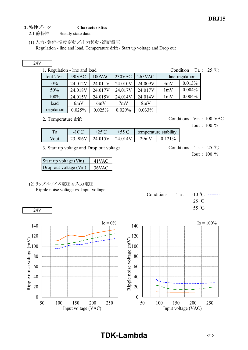- 2. 特性データ **Characteristics** 2.1 静特性 Steady state data
	- (1) 入力・負荷・温度変動/出力起動・遮断電圧 Regulation - line and load, Temperature drift / Start up voltage and Drop out

### 24V

| 1. Regulation - line and load |
|-------------------------------|
|                               |

| 100VAC<br>$230\text{VAC}$<br>$265$ VAC<br>$Iout \setminus Vin$<br>90VAC<br>line regulation |  |
|--------------------------------------------------------------------------------------------|--|
| 0.013%<br>$0\%$<br>3mV<br>24.009V<br>24.012V<br>24.010V<br>24.011V                         |  |
| 0.004%<br>50%<br>1mV<br>24.018V<br>24.017V<br>24.017V<br>24.017V                           |  |
| 0.004%<br>100%<br>1mV<br>24.015V<br>24.015V<br>24.014V<br>24.014V                          |  |
| load<br>8mV<br>6mV<br>7mV<br>6mV                                                           |  |
| regulation<br>0.025%<br>0.029%<br>$0.033\%$<br>0.025%                                      |  |

2. Temperature drift Conditions Vin : 100 VAC

Iout : 100 %

Iout : 100 %

| ı a  | $-10^{\circ}$ | ب ک  | 5500       |       | stability<br>$ \sim$ |
|------|---------------|------|------------|-------|----------------------|
| Vout |               | 74 ' | $\Delta V$ | 29m V | 10 <sub>o</sub>      |

3. Start up voltage and Drop out voltage Conditions Ta : 25 °C

| Start up voltage (Vin) | 41 VAC |
|------------------------|--------|
| Drop out voltage (Vin) | 36VAC  |

(2) リップルノイズ電圧対入力電圧

24V

Ripple noise voltage vs. Input voltage

Conditions Ta:  $-10$  °C  $-- 25 °C$  ----55 ℃ —



**TDK-Lambda** 8/18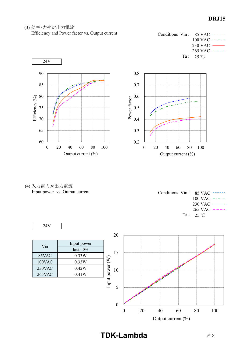(3) 効率・力率対出力電流

Efficiency and Power factor vs. Output current







(4) 入力電力対出力電流 Input power vs. Output current

| Conditions $V\text{in}: 85 \text{ VAC}$ ------- |
|-------------------------------------------------|
| $100 \text{ VAC}$ - - -                         |
| $230$ VAC $\longrightarrow$                     |
| $265 \text{ VAC}$ ----                          |
| $Ta: 25\textdegree C$                           |
|                                                 |



| Vin    | Input power |                              |
|--------|-------------|------------------------------|
|        | Iout: $0\%$ |                              |
| 85VAC  | 0.33W       |                              |
| 100VAC | 0.33W       | $\widehat{\bm{\mathcal{E}}}$ |
| 230VAC | 0.42W       | nput power                   |
| 265VAC | 0.41W       |                              |
|        |             |                              |
|        |             |                              |



**TDK-Lambda** 9/18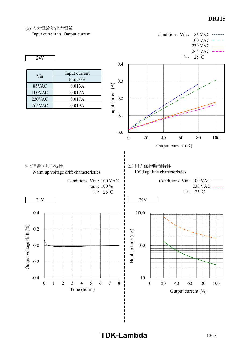(5) 入力電流対出力電流



**TDK-Lambda** 10/18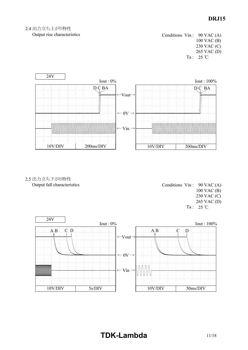### 2.4 出力立ち上がり特性

Output rise characteristics

Conditions Vin : 90 VAC (A) 100 VAC (B) 230 VAC (C) 265 VAC (D) Ta:  $25^{\circ}$ C



2.5 出力立ち下がり特性 Output fall characteristics

Conditions Vin : 90 VAC (A) 100 VAC (B) 230 VAC (C) 265 VAC (D) Ta:  $25^{\circ}$ C



# **TDK-Lambda** 11/18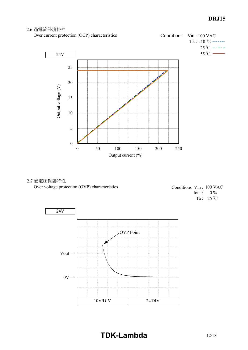#### 2.6 過電流保護特性





#### 2.7 過電圧保護特性 Over voltage protection (OVP) characteristics

Conditions Vin: 100 VAC  $I$ out :  $0\%$ Ta:  $25^{\circ}$ C



**TDK-Lambda** 12/18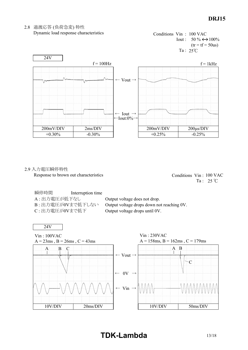

#### 2.8 過渡応答 (負荷急変) 特性 Dynamic load response characteristics

#### 2.9 入力電圧瞬停特性 Response to brown out characteristics

Conditions Vin: 100 VAC Ta:  $25^{\circ}$ C

瞬停時間 Interruption time A: 出力電圧が低下なし Output voltage does not drop. C : 出力電圧が0Vまで低下 Output voltage drops until 0V.

B : 出力電圧が0Vまで低下しない Output voltage drops down not reaching 0V.



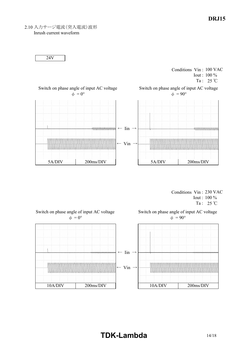2.10 入力サージ電流(突入電流)波形

Inrush current waveform



Conditions Vin: 230 VAC Iout: 100 % Ta:  $25^{\circ}$ C



# **TDKLambda** 14/18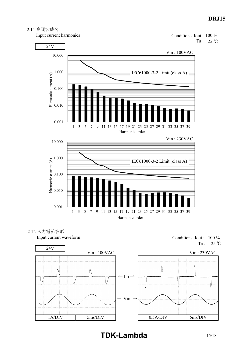

Input current harmonics

24V

Harmonic current (A)







1 3 5 7 9 11 13 15 17 19 21 23 25 27 29 31 33 35 37 39

Harmonic order

Input current waveform

0.001

0.010

0.100

Harmonic current (A)

Conditions Iout : 100 % Ta : 25 ℃

**TDK-Lambda** 15/18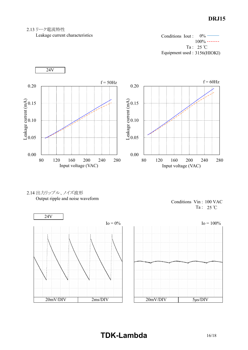#### 2.13 リーク電流特性

Leakage current characteristics

 $0\%$  – 100% -------Ta:  $25^{\circ}$ C Equipment used : 3156(HIOKI) Conditions Iout :









# **TDKLambda** 16/18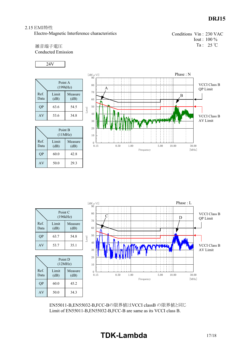#### 2.15 EMI特性

Electro-Magnetic Interference characteristics

Conditions Vin: 230 VAC Iout: 100 % Ta:  $25^{\circ}$ C

雑音端子電圧 Conducted Emission

$$
24V
$$

|              | Point A<br>(199kHz) |                 |  |
|--------------|---------------------|-----------------|--|
| Ref.<br>Data | Limit<br>(dB)       | Measure<br>(dB) |  |
| <b>OP</b>    | 63.6                | 54.5            |  |
| AV           | 53.6                | 34.8            |  |

|              | Point B<br>(11MHz) |                 |
|--------------|--------------------|-----------------|
| Ref.<br>Data | Limit<br>(dB)      | Measure<br>(dB) |
| <b>OP</b>    | 60.0               | 42.8            |
| AV           | 50.0               | 29.3            |



|              | Point C<br>(196kHz) |                 |                          |  |  |  |  |  |  |  |  |
|--------------|---------------------|-----------------|--------------------------|--|--|--|--|--|--|--|--|
| Ref.<br>Data | Limit<br>(dB)       | Measure<br>(dB) |                          |  |  |  |  |  |  |  |  |
| <b>OP</b>    | 63.7                | 54.8            | $\overline{\phantom{a}}$ |  |  |  |  |  |  |  |  |
| AV           | 53.7                | 35.1            |                          |  |  |  |  |  |  |  |  |

Point D (12MHz)

34.3

AV

50.0

60.0

Limit  $(dB)$ 

QP

Ref. Data  $\begin{bmatrix} \text{dB}(\mu \text{ V}) \\ 90 \end{bmatrix}$ 

70 80

C

| <b>Neasure</b><br>(dB) |       | 60                   |  |      |  |      |  |           |  |      |  |       |            |       |                                 |  |
|------------------------|-------|----------------------|--|------|--|------|--|-----------|--|------|--|-------|------------|-------|---------------------------------|--|
| 54.8                   | Level | $50\,$               |  |      |  |      |  |           |  |      |  |       |            |       |                                 |  |
| 35.1                   |       | 40<br>$30\,$         |  |      |  |      |  |           |  |      |  |       | <b>TOP</b> |       | <b>VCCI Class B</b><br>AV Limit |  |
|                        |       |                      |  |      |  |      |  |           |  |      |  |       |            |       |                                 |  |
| D<br>Hz)               |       | $20\,$<br>10         |  |      |  |      |  |           |  |      |  |       |            |       |                                 |  |
| Measure<br>(dB)        |       | $\mathbf{0}$<br>0.15 |  | 0.50 |  | 1.00 |  |           |  | 5.00 |  | 10.00 |            | 30.00 |                                 |  |
| 45.2                   |       |                      |  |      |  |      |  | Frequency |  |      |  |       |            | [MHz] |                                 |  |
| 242                    |       |                      |  |      |  |      |  |           |  |      |  |       |            |       |                                 |  |

EN55011-B,EN55032-B,FCC-Bの限界値はVCCI classB の限界値と同じ Limit of EN55011-B,EN55032-B,FCC-B are same as its VCCI class B.

# **TDK-Lambda**

 $QP$  Limit

VCCI Class B

 $\mathbf{r}$ 

Phase : L

D